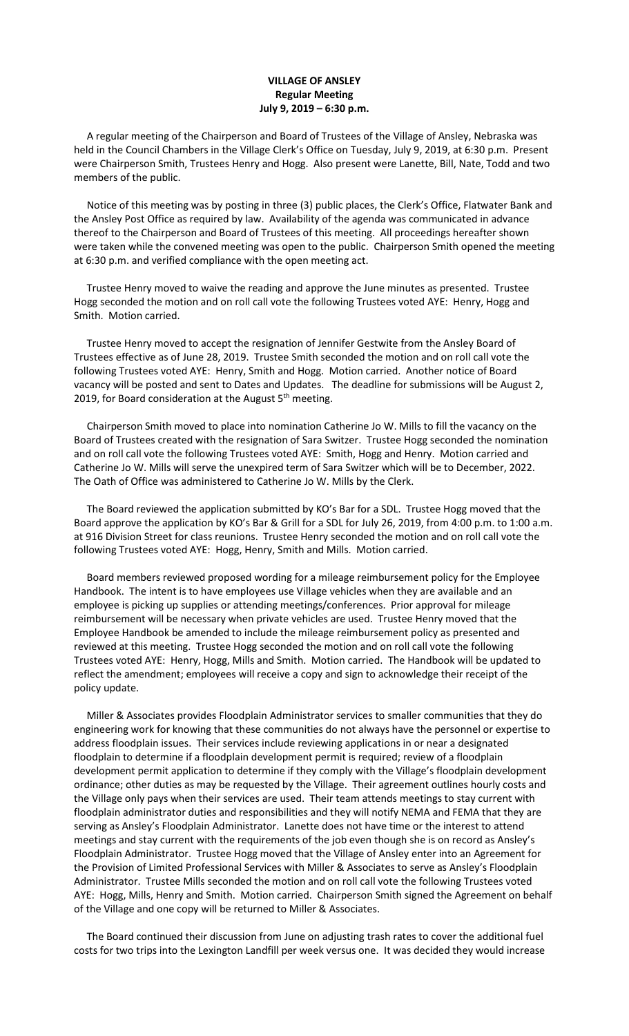## **VILLAGE OF ANSLEY Regular Meeting July 9, 2019 – 6:30 p.m.**

 A regular meeting of the Chairperson and Board of Trustees of the Village of Ansley, Nebraska was held in the Council Chambers in the Village Clerk's Office on Tuesday, July 9, 2019, at 6:30 p.m. Present were Chairperson Smith, Trustees Henry and Hogg. Also present were Lanette, Bill, Nate, Todd and two members of the public.

 Notice of this meeting was by posting in three (3) public places, the Clerk's Office, Flatwater Bank and the Ansley Post Office as required by law. Availability of the agenda was communicated in advance thereof to the Chairperson and Board of Trustees of this meeting. All proceedings hereafter shown were taken while the convened meeting was open to the public. Chairperson Smith opened the meeting at 6:30 p.m. and verified compliance with the open meeting act.

 Trustee Henry moved to waive the reading and approve the June minutes as presented. Trustee Hogg seconded the motion and on roll call vote the following Trustees voted AYE: Henry, Hogg and Smith. Motion carried.

 Trustee Henry moved to accept the resignation of Jennifer Gestwite from the Ansley Board of Trustees effective as of June 28, 2019. Trustee Smith seconded the motion and on roll call vote the following Trustees voted AYE: Henry, Smith and Hogg. Motion carried. Another notice of Board vacancy will be posted and sent to Dates and Updates. The deadline for submissions will be August 2, 2019, for Board consideration at the August  $5<sup>th</sup>$  meeting.

 Chairperson Smith moved to place into nomination Catherine Jo W. Mills to fill the vacancy on the Board of Trustees created with the resignation of Sara Switzer. Trustee Hogg seconded the nomination and on roll call vote the following Trustees voted AYE: Smith, Hogg and Henry. Motion carried and Catherine Jo W. Mills will serve the unexpired term of Sara Switzer which will be to December, 2022. The Oath of Office was administered to Catherine Jo W. Mills by the Clerk.

 The Board reviewed the application submitted by KO's Bar for a SDL. Trustee Hogg moved that the Board approve the application by KO's Bar & Grill for a SDL for July 26, 2019, from 4:00 p.m. to 1:00 a.m. at 916 Division Street for class reunions. Trustee Henry seconded the motion and on roll call vote the following Trustees voted AYE: Hogg, Henry, Smith and Mills. Motion carried.

 Board members reviewed proposed wording for a mileage reimbursement policy for the Employee Handbook. The intent is to have employees use Village vehicles when they are available and an employee is picking up supplies or attending meetings/conferences. Prior approval for mileage reimbursement will be necessary when private vehicles are used. Trustee Henry moved that the Employee Handbook be amended to include the mileage reimbursement policy as presented and reviewed at this meeting. Trustee Hogg seconded the motion and on roll call vote the following Trustees voted AYE: Henry, Hogg, Mills and Smith. Motion carried. The Handbook will be updated to reflect the amendment; employees will receive a copy and sign to acknowledge their receipt of the policy update.

 Miller & Associates provides Floodplain Administrator services to smaller communities that they do engineering work for knowing that these communities do not always have the personnel or expertise to address floodplain issues. Their services include reviewing applications in or near a designated floodplain to determine if a floodplain development permit is required; review of a floodplain development permit application to determine if they comply with the Village's floodplain development ordinance; other duties as may be requested by the Village. Their agreement outlines hourly costs and the Village only pays when their services are used. Their team attends meetings to stay current with floodplain administrator duties and responsibilities and they will notify NEMA and FEMA that they are serving as Ansley's Floodplain Administrator. Lanette does not have time or the interest to attend meetings and stay current with the requirements of the job even though she is on record as Ansley's Floodplain Administrator. Trustee Hogg moved that the Village of Ansley enter into an Agreement for the Provision of Limited Professional Services with Miller & Associates to serve as Ansley's Floodplain Administrator. Trustee Mills seconded the motion and on roll call vote the following Trustees voted AYE: Hogg, Mills, Henry and Smith. Motion carried. Chairperson Smith signed the Agreement on behalf of the Village and one copy will be returned to Miller & Associates.

 The Board continued their discussion from June on adjusting trash rates to cover the additional fuel costs for two trips into the Lexington Landfill per week versus one. It was decided they would increase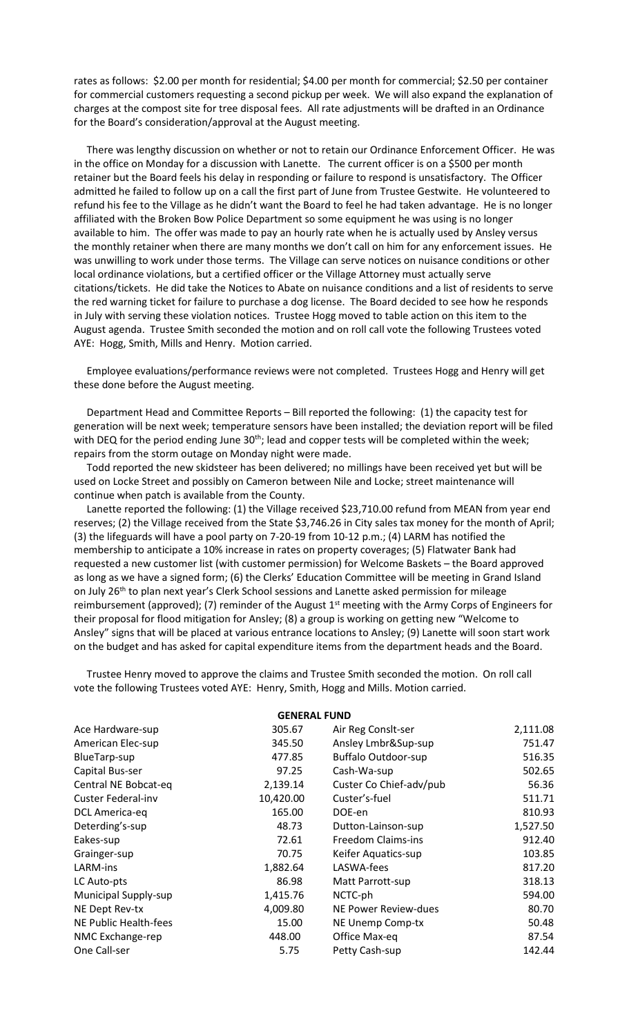rates as follows: \$2.00 per month for residential; \$4.00 per month for commercial; \$2.50 per container for commercial customers requesting a second pickup per week. We will also expand the explanation of charges at the compost site for tree disposal fees. All rate adjustments will be drafted in an Ordinance for the Board's consideration/approval at the August meeting.

 There was lengthy discussion on whether or not to retain our Ordinance Enforcement Officer. He was in the office on Monday for a discussion with Lanette. The current officer is on a \$500 per month retainer but the Board feels his delay in responding or failure to respond is unsatisfactory. The Officer admitted he failed to follow up on a call the first part of June from Trustee Gestwite. He volunteered to refund his fee to the Village as he didn't want the Board to feel he had taken advantage. He is no longer affiliated with the Broken Bow Police Department so some equipment he was using is no longer available to him. The offer was made to pay an hourly rate when he is actually used by Ansley versus the monthly retainer when there are many months we don't call on him for any enforcement issues. He was unwilling to work under those terms. The Village can serve notices on nuisance conditions or other local ordinance violations, but a certified officer or the Village Attorney must actually serve citations/tickets. He did take the Notices to Abate on nuisance conditions and a list of residents to serve the red warning ticket for failure to purchase a dog license. The Board decided to see how he responds in July with serving these violation notices. Trustee Hogg moved to table action on this item to the August agenda. Trustee Smith seconded the motion and on roll call vote the following Trustees voted AYE: Hogg, Smith, Mills and Henry. Motion carried.

 Employee evaluations/performance reviews were not completed. Trustees Hogg and Henry will get these done before the August meeting.

 Department Head and Committee Reports – Bill reported the following: (1) the capacity test for generation will be next week; temperature sensors have been installed; the deviation report will be filed with DEQ for the period ending June 30<sup>th</sup>; lead and copper tests will be completed within the week; repairs from the storm outage on Monday night were made.

 Todd reported the new skidsteer has been delivered; no millings have been received yet but will be used on Locke Street and possibly on Cameron between Nile and Locke; street maintenance will continue when patch is available from the County.

 Lanette reported the following: (1) the Village received \$23,710.00 refund from MEAN from year end reserves; (2) the Village received from the State \$3,746.26 in City sales tax money for the month of April; (3) the lifeguards will have a pool party on 7-20-19 from 10-12 p.m.; (4) LARM has notified the membership to anticipate a 10% increase in rates on property coverages; (5) Flatwater Bank had requested a new customer list (with customer permission) for Welcome Baskets – the Board approved as long as we have a signed form; (6) the Clerks' Education Committee will be meeting in Grand Island on July 26<sup>th</sup> to plan next year's Clerk School sessions and Lanette asked permission for mileage reimbursement (approved); (7) reminder of the August 1<sup>st</sup> meeting with the Army Corps of Engineers for their proposal for flood mitigation for Ansley; (8) a group is working on getting new "Welcome to Ansley" signs that will be placed at various entrance locations to Ansley; (9) Lanette will soon start work on the budget and has asked for capital expenditure items from the department heads and the Board.

 Trustee Henry moved to approve the claims and Trustee Smith seconded the motion. On roll call vote the following Trustees voted AYE: Henry, Smith, Hogg and Mills. Motion carried.

| <b>GENERAL FUND</b>   |           |                            |          |  |  |
|-----------------------|-----------|----------------------------|----------|--|--|
| Ace Hardware-sup      | 305.67    | Air Reg Conslt-ser         | 2,111.08 |  |  |
| American Elec-sup     | 345.50    | Ansley Lmbr&Sup-sup        | 751.47   |  |  |
| BlueTarp-sup          | 477.85    | <b>Buffalo Outdoor-sup</b> | 516.35   |  |  |
| Capital Bus-ser       | 97.25     | Cash-Wa-sup                | 502.65   |  |  |
| Central NE Bobcat-eq  | 2,139.14  | Custer Co Chief-adv/pub    | 56.36    |  |  |
| Custer Federal-inv    | 10,420.00 | Custer's-fuel              | 511.71   |  |  |
| DCL America-eq        | 165.00    | DOE-en                     | 810.93   |  |  |
| Deterding's-sup       | 48.73     | Dutton-Lainson-sup         | 1,527.50 |  |  |
| Eakes-sup             | 72.61     | <b>Freedom Claims-ins</b>  | 912.40   |  |  |
| Grainger-sup          | 70.75     | Keifer Aquatics-sup        | 103.85   |  |  |
| LARM-ins              | 1,882.64  | LASWA-fees                 | 817.20   |  |  |
| LC Auto-pts           | 86.98     | Matt Parrott-sup           | 318.13   |  |  |
| Municipal Supply-sup  | 1,415.76  | NCTC-ph                    | 594.00   |  |  |
| NE Dept Rev-tx        | 4,009.80  | NE Power Review-dues       | 80.70    |  |  |
| NE Public Health-fees | 15.00     | NE Unemp Comp-tx           | 50.48    |  |  |
| NMC Exchange-rep      | 448.00    | Office Max-eq              | 87.54    |  |  |
| One Call-ser          | 5.75      | Petty Cash-sup             | 142.44   |  |  |